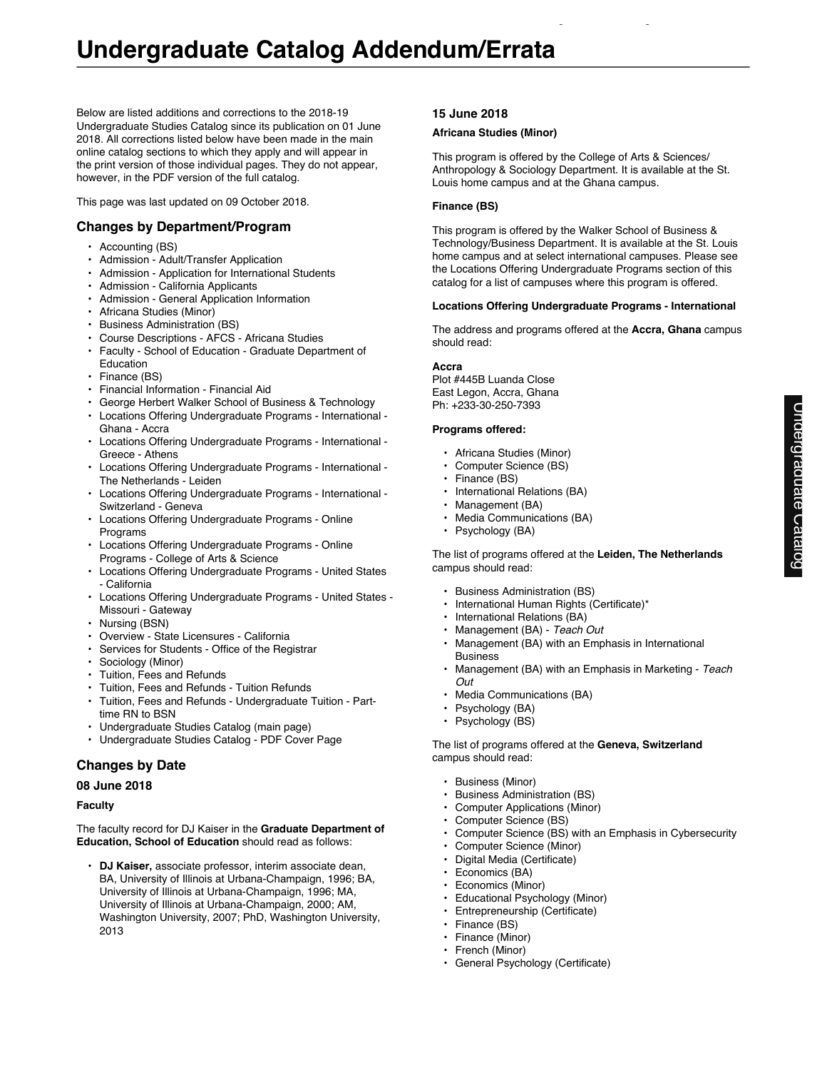Below are listed additions and corrections to the 2018-19 Undergraduate Studies Catalog since its publication on 01 June 2018. All corrections listed below have been made in the main online catalog sections to which they apply and will appear in the print version of those individual pages. They do not appear, however, in the PDF version of the full catalog.

This page was last updated on 09 October 2018.

# **Changes by Department/Program**

- Accounting (BS)
- Admission Adult/Transfer Application
- Admission Application for International Students
- Admission California Applicants
- Admission General Application Information
- Africana Studies (Minor)
- Business Administration (BS)
- Course Descriptions AFCS Africana Studies
- Faculty School of Education Graduate Department of Education
- Finance (BS)
- Financial Information Financial Aid
- George Herbert Walker School of Business & Technology
- Locations Offering Undergraduate Programs International Ghana - Accra
- Locations Offering Undergraduate Programs International Greece - Athens
- Locations Offering Undergraduate Programs International The Netherlands - Leiden
- Locations Offering Undergraduate Programs International Switzerland - Geneva
- Locations Offering Undergraduate Programs Online Programs
- Locations Offering Undergraduate Programs Online Programs - College of Arts & Science
- Locations Offering Undergraduate Programs United States - California
- Locations Offering Undergraduate Programs United States Missouri - Gateway
- Nursing (BSN)
- Overview State Licensures California
- Services for Students Office of the Registrar
- Sociology (Minor)
- Tuition, Fees and Refunds
- Tuition, Fees and Refunds Tuition Refunds
- Tuition, Fees and Refunds Undergraduate Tuition Parttime RN to BSN
- Undergraduate Studies Catalog (main page)
- Undergraduate Studies Catalog PDF Cover Page

# **Changes by Date**

## **08 June 2018**

## **Faculty**

The faculty record for DJ Kaiser in the **Graduate Department of Education, School of Education** should read as follows:

• **DJ Kaiser,** associate professor, interim associate dean, BA, University of Illinois at Urbana-Champaign, 1996; BA, University of Illinois at Urbana-Champaign, 1996; MA, University of Illinois at Urbana-Champaign, 2000; AM, Washington University, 2007; PhD, Washington University, 2013

## **15 June 2018**

## **Africana Studies (Minor)**

This program is offered by the College of Arts & Sciences/ Anthropology & Sociology Department. It is available at the St. Louis home campus and at the Ghana campus.

Undergraduate Catalog Addendum/Errata

## **Finance (BS)**

This program is offered by the Walker School of Business & Technology/Business Department. It is available at the St. Louis home campus and at select international campuses. Please see the Locations Offering Undergraduate Programs section of this catalog for a list of campuses where this program is offered.

## **Locations Offering Undergraduate Programs - International**

The address and programs offered at the **Accra, Ghana** campus should read:

## **Accra**

Plot #445B Luanda Close East Legon, Accra, Ghana Ph: +233-30-250-7393

## **Programs offered:**

- Africana Studies (Minor)
- Computer Science (BS)
- Finance (BS)
- International Relations (BA)
- Management (BA)
- Media Communications (BA)
- Psychology (BA)

The list of programs offered at the **Leiden, The Netherlands** campus should read:

- Business Administration (BS)
- International Human Rights (Certificate)\*
- International Relations (BA)
- Management (BA) *Teach Out*
- Management (BA) with an Emphasis in International Business
- Management (BA) with an Emphasis in Marketing *Teach Out*
- Media Communications (BA)
- Psychology (BA)
- Psychology (BS)

The list of programs offered at the **Geneva, Switzerland** campus should read:

- Business (Minor)
- Business Administration (BS)
- Computer Applications (Minor)
- Computer Science (BS)
- Computer Science (BS) with an Emphasis in Cybersecurity
- Computer Science (Minor)
- Digital Media (Certificate)
- Economics (BA)
- Economics (Minor)
- Educational Psychology (Minor)
- Entrepreneurship (Certificate)
- Finance (BS)
- Finance (Minor)
- French (Minor)
- General Psychology (Certificate)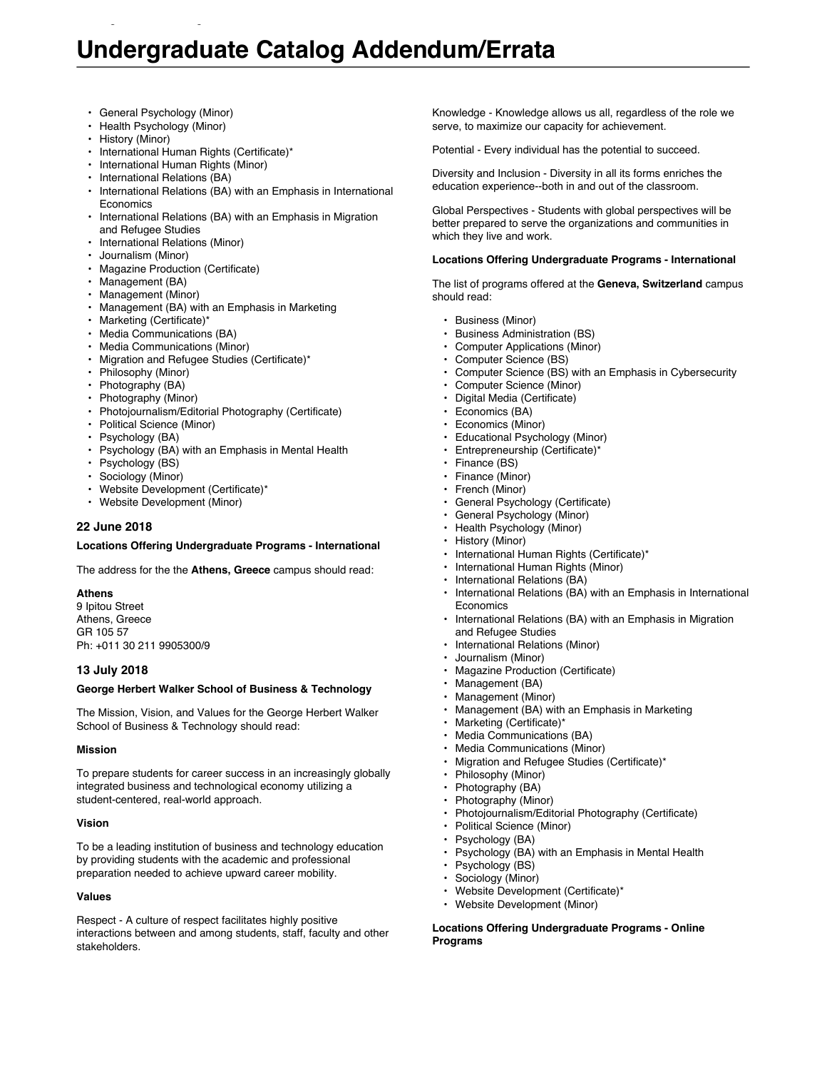# **Undergraduate Catalog Addendum/Errata**

- General Psychology (Minor)
- Health Psychology (Minor)
- History (Minor)
- International Human Rights (Certificate)\*

Undergraduate Catalog Addendum/Errata

- International Human Rights (Minor)
- International Relations (BA)
- International Relations (BA) with an Emphasis in International **Economics**
- International Relations (BA) with an Emphasis in Migration and Refugee Studies
- International Relations (Minor)
- Journalism (Minor)
- Magazine Production (Certificate)
- Management (BA)
- Management (Minor)
- Management (BA) with an Emphasis in Marketing
- Marketing (Certificate)\*
- Media Communications (BA)
- Media Communications (Minor)
- Migration and Refugee Studies (Certificate)\*
- Philosophy (Minor)
- Photography (BA)
- Photography (Minor)
- Photojournalism/Editorial Photography (Certificate)
- Political Science (Minor)
- Psychology (BA)
- Psychology (BA) with an Emphasis in Mental Health
- Psychology (BS)
- Sociology (Minor)
- Website Development (Certificate)\*
- Website Development (Minor)

## **22 June 2018**

## **Locations Offering Undergraduate Programs - International**

The address for the the **Athens, Greece** campus should read:

#### **Athens**

9 Ipitou Street Athens, Greece GR 105 57 Ph: +011 30 211 9905300/9

## **13 July 2018**

## **George Herbert Walker School of Business & Technology**

The Mission, Vision, and Values for the George Herbert Walker School of Business & Technology should read:

## **Mission**

To prepare students for career success in an increasingly globally integrated business and technological economy utilizing a student-centered, real-world approach.

#### **Vision**

To be a leading institution of business and technology education by providing students with the academic and professional preparation needed to achieve upward career mobility.

## **Values**

Respect - A culture of respect facilitates highly positive interactions between and among students, staff, faculty and other stakeholders.

Knowledge - Knowledge allows us all, regardless of the role we serve, to maximize our capacity for achievement.

Potential - Every individual has the potential to succeed.

Diversity and Inclusion - Diversity in all its forms enriches the education experience--both in and out of the classroom.

Global Perspectives - Students with global perspectives will be better prepared to serve the organizations and communities in which they live and work.

#### **Locations Offering Undergraduate Programs - International**

The list of programs offered at the **Geneva, Switzerland** campus should read:

- Business (Minor)
- Business Administration (BS)
- Computer Applications (Minor)
- Computer Science (BS)
- Computer Science (BS) with an Emphasis in Cybersecurity
- Computer Science (Minor)
- Digital Media (Certificate)
- Economics (BA)
- Economics (Minor)
- Educational Psychology (Minor)
- Entrepreneurship (Certificate)\*
- Finance (BS)
- Finance (Minor)
- French (Minor)
- General Psychology (Certificate)
- General Psychology (Minor)
- Health Psychology (Minor)
- History (Minor)
- International Human Rights (Certificate)\*
- International Human Rights (Minor)
- International Relations (BA)
- International Relations (BA) with an Emphasis in International Economics
- International Relations (BA) with an Emphasis in Migration and Refugee Studies
- International Relations (Minor)
- Journalism (Minor)
- Magazine Production (Certificate)
- Management (BA)
- Management (Minor)
- Management (BA) with an Emphasis in Marketing
- Marketing (Certificate)\*
- Media Communications (BA)
- Media Communications (Minor)
- Migration and Refugee Studies (Certificate)\*
- Philosophy (Minor)
- Photography (BA)
- Photography (Minor)
- Photojournalism/Editorial Photography (Certificate)
- Political Science (Minor)
- Psychology (BA)
- Psychology (BA) with an Emphasis in Mental Health
- Psychology (BS)
- Sociology (Minor)
- Website Development (Certificate)\*
- Website Development (Minor)

**Locations Offering Undergraduate Programs - Online Programs**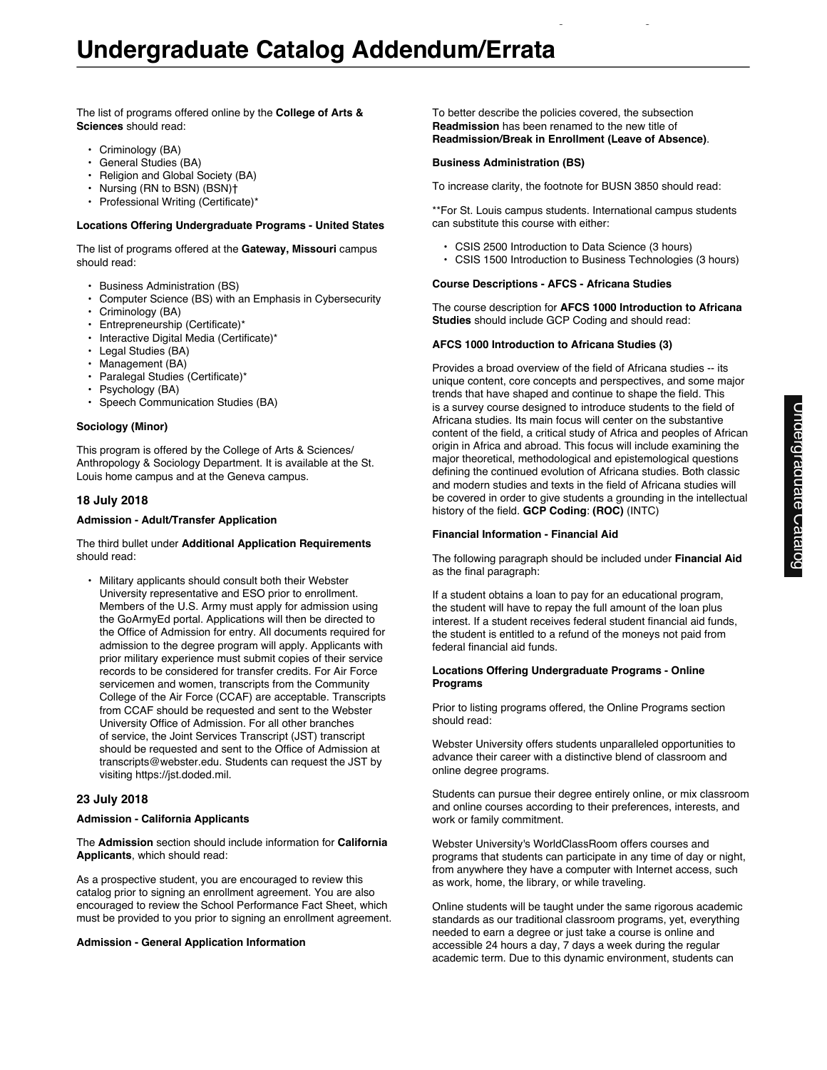The list of programs offered online by the **College of Arts & Sciences** should read:

- Criminology (BA)<br>• General Studies (
- General Studies (BA)
- Religion and Global Society (BA)
- Nursing (RN to BSN) (BSN)†
- Professional Writing (Certificate)\*

#### **Locations Offering Undergraduate Programs - United States**

The list of programs offered at the **Gateway, Missouri** campus should read:

- Business Administration (BS)
- Computer Science (BS) with an Emphasis in Cybersecurity
- Criminology (BA)
- Entrepreneurship (Certificate)\*
- Interactive Digital Media (Certificate)\*
- Legal Studies (BA)
- Management (BA)
- Paralegal Studies (Certificate)\*
- Psychology (BA)
- Speech Communication Studies (BA)

#### **Sociology (Minor)**

This program is offered by the College of Arts & Sciences/ Anthropology & Sociology Department. It is available at the St. Louis home campus and at the Geneva campus.

## **18 July 2018**

#### **Admission - Adult/Transfer Application**

The third bullet under **Additional Application Requirements** should read:

• Military applicants should consult both their Webster University representative and ESO prior to enrollment. Members of the U.S. Army must apply for admission using the GoArmyEd portal. Applications will then be directed to the Office of Admission for entry. All documents required for admission to the degree program will apply. Applicants with prior military experience must submit copies of their service records to be considered for transfer credits. For Air Force servicemen and women, transcripts from the Community College of the Air Force (CCAF) are acceptable. Transcripts from CCAF should be requested and sent to the Webster University Office of Admission. For all other branches of service, the Joint Services Transcript (JST) transcript should be requested and sent to the Office of Admission at transcripts@webster.edu. Students can request the JST by visiting https://jst.doded.mil.

## **23 July 2018**

#### **Admission - California Applicants**

The **Admission** section should include information for **California Applicants**, which should read:

As a prospective student, you are encouraged to review this catalog prior to signing an enrollment agreement. You are also encouraged to review the School Performance Fact Sheet, which must be provided to you prior to signing an enrollment agreement.

#### **Admission - General Application Information**

To better describe the policies covered, the subsection **Readmission** has been renamed to the new title of **Readmission/Break in Enrollment (Leave of Absence)**.

Undergraduate Catalog Addendum/Errata

#### **Business Administration (BS)**

To increase clarity, the footnote for BUSN 3850 should read:

\*\*For St. Louis campus students. International campus students can substitute this course with either:

- CSIS 2500 Introduction to Data Science (3 hours)
- CSIS 1500 Introduction to Business Technologies (3 hours)

## **Course Descriptions - AFCS - Africana Studies**

The course description for **AFCS 1000 Introduction to Africana Studies** should include GCP Coding and should read:

#### **AFCS 1000 Introduction to Africana Studies (3)**

Provides a broad overview of the field of Africana studies -- its unique content, core concepts and perspectives, and some major trends that have shaped and continue to shape the field. This is a survey course designed to introduce students to the field of Africana studies. Its main focus will center on the substantive content of the field, a critical study of Africa and peoples of African origin in Africa and abroad. This focus will include examining the major theoretical, methodological and epistemological questions defining the continued evolution of Africana studies. Both classic and modern studies and texts in the field of Africana studies will be covered in order to give students a grounding in the intellectual history of the field. **GCP Coding**: **(ROC)** (INTC)

#### **Financial Information - Financial Aid**

The following paragraph should be included under **Financial Aid** as the final paragraph:

If a student obtains a loan to pay for an educational program, the student will have to repay the full amount of the loan plus interest. If a student receives federal student financial aid funds, the student is entitled to a refund of the moneys not paid from federal financial aid funds.

#### **Locations Offering Undergraduate Programs - Online Programs**

Prior to listing programs offered, the Online Programs section should read:

Webster University offers students unparalleled opportunities to advance their career with a distinctive blend of classroom and online degree programs.

Students can pursue their degree entirely online, or mix classroom and online courses according to their preferences, interests, and work or family commitment.

Webster University's WorldClassRoom offers courses and programs that students can participate in any time of day or night, from anywhere they have a computer with Internet access, such as work, home, the library, or while traveling.

Online students will be taught under the same rigorous academic standards as our traditional classroom programs, yet, everything needed to earn a degree or just take a course is online and accessible 24 hours a day, 7 days a week during the regular academic term. Due to this dynamic environment, students can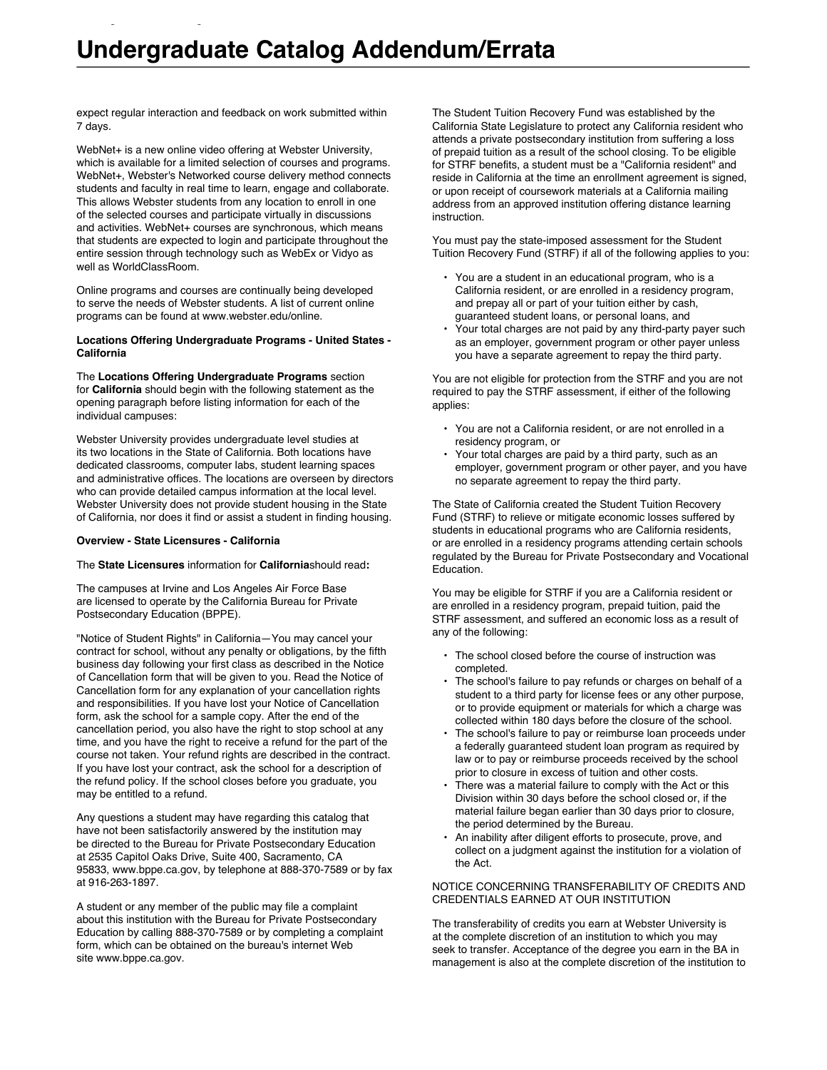expect regular interaction and feedback on work submitted within 7 days.

Undergraduate Catalog Addendum/Errata

WebNet+ is a new online video offering at Webster University, which is available for a limited selection of courses and programs. WebNet+, Webster's Networked course delivery method connects students and faculty in real time to learn, engage and collaborate. This allows Webster students from any location to enroll in one of the selected courses and participate virtually in discussions and activities. WebNet+ courses are synchronous, which means that students are expected to login and participate throughout the entire session through technology such as WebEx or Vidyo as well as WorldClassRoom.

Online programs and courses are continually being developed to serve the needs of Webster students. A list of current online programs can be found at www.webster.edu/online.

#### **Locations Offering Undergraduate Programs - United States - California**

The **Locations Offering Undergraduate Programs** section for **California** should begin with the following statement as the opening paragraph before listing information for each of the individual campuses:

Webster University provides undergraduate level studies at its two locations in the State of California. Both locations have dedicated classrooms, computer labs, student learning spaces and administrative offices. The locations are overseen by directors who can provide detailed campus information at the local level. Webster University does not provide student housing in the State of California, nor does it find or assist a student in finding housing.

#### **Overview - State Licensures - California**

## The **State Licensures** information for **California**should read**:**

The campuses at Irvine and Los Angeles Air Force Base are licensed to operate by the California Bureau for Private Postsecondary Education (BPPE).

"Notice of Student Rights" in California—You may cancel your contract for school, without any penalty or obligations, by the fifth business day following your first class as described in the Notice of Cancellation form that will be given to you. Read the Notice of Cancellation form for any explanation of your cancellation rights and responsibilities. If you have lost your Notice of Cancellation form, ask the school for a sample copy. After the end of the cancellation period, you also have the right to stop school at any time, and you have the right to receive a refund for the part of the course not taken. Your refund rights are described in the contract. If you have lost your contract, ask the school for a description of the refund policy. If the school closes before you graduate, you may be entitled to a refund.

Any questions a student may have regarding this catalog that have not been satisfactorily answered by the institution may be directed to the Bureau for Private Postsecondary Education at 2535 Capitol Oaks Drive, Suite 400, Sacramento, CA 95833, www.bppe.ca.gov, by telephone at 888-370-7589 or by fax at 916-263-1897.

A student or any member of the public may file a complaint about this institution with the Bureau for Private Postsecondary Education by calling 888-370-7589 or by completing a complaint form, which can be obtained on the bureau's internet Web site www.bppe.ca.gov.

The Student Tuition Recovery Fund was established by the California State Legislature to protect any California resident who attends a private postsecondary institution from suffering a loss of prepaid tuition as a result of the school closing. To be eligible for STRF benefits, a student must be a "California resident" and reside in California at the time an enrollment agreement is signed, or upon receipt of coursework materials at a California mailing address from an approved institution offering distance learning instruction.

You must pay the state-imposed assessment for the Student Tuition Recovery Fund (STRF) if all of the following applies to you:

- You are a student in an educational program, who is a California resident, or are enrolled in a residency program, and prepay all or part of your tuition either by cash, guaranteed student loans, or personal loans, and
- Your total charges are not paid by any third-party payer such as an employer, government program or other payer unless you have a separate agreement to repay the third party.

You are not eligible for protection from the STRF and you are not required to pay the STRF assessment, if either of the following applies:

- You are not a California resident, or are not enrolled in a residency program, or
- Your total charges are paid by a third party, such as an employer, government program or other payer, and you have no separate agreement to repay the third party.

The State of California created the Student Tuition Recovery Fund (STRF) to relieve or mitigate economic losses suffered by students in educational programs who are California residents, or are enrolled in a residency programs attending certain schools regulated by the Bureau for Private Postsecondary and Vocational Education.

You may be eligible for STRF if you are a California resident or are enrolled in a residency program, prepaid tuition, paid the STRF assessment, and suffered an economic loss as a result of any of the following:

- The school closed before the course of instruction was completed.
- The school's failure to pay refunds or charges on behalf of a student to a third party for license fees or any other purpose, or to provide equipment or materials for which a charge was collected within 180 days before the closure of the school.
- The school's failure to pay or reimburse loan proceeds under a federally guaranteed student loan program as required by law or to pay or reimburse proceeds received by the school prior to closure in excess of tuition and other costs.
- There was a material failure to comply with the Act or this Division within 30 days before the school closed or, if the material failure began earlier than 30 days prior to closure, the period determined by the Bureau.
- An inability after diligent efforts to prosecute, prove, and collect on a judgment against the institution for a violation of the Act.

## NOTICE CONCERNING TRANSFERABILITY OF CREDITS AND CREDENTIALS EARNED AT OUR INSTITUTION

The transferability of credits you earn at Webster University is at the complete discretion of an institution to which you may seek to transfer. Acceptance of the degree you earn in the BA in management is also at the complete discretion of the institution to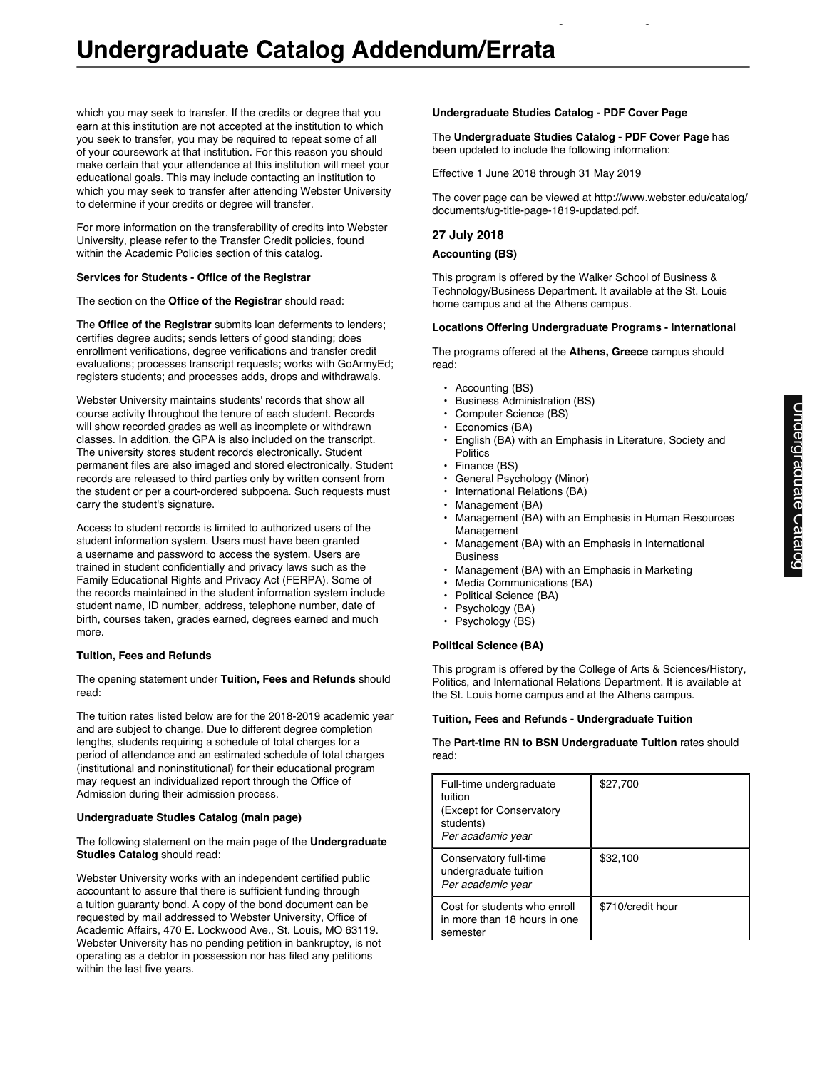which you may seek to transfer. If the credits or degree that you earn at this institution are not accepted at the institution to which you seek to transfer, you may be required to repeat some of all of your coursework at that institution. For this reason you should make certain that your attendance at this institution will meet your educational goals. This may include contacting an institution to which you may seek to transfer after attending Webster University to determine if your credits or degree will transfer.

For more information on the transferability of credits into Webster University, please refer to the Transfer Credit policies, found within the Academic Policies section of this catalog.

## **Services for Students - Office of the Registrar**

The section on the **Office of the Registrar** should read:

The **Office of the Registrar** submits loan deferments to lenders; certifies degree audits; sends letters of good standing; does enrollment verifications, degree verifications and transfer credit evaluations; processes transcript requests; works with GoArmyEd; registers students; and processes adds, drops and withdrawals.

Webster University maintains students' records that show all course activity throughout the tenure of each student. Records will show recorded grades as well as incomplete or withdrawn classes. In addition, the GPA is also included on the transcript. The university stores student records electronically. Student permanent files are also imaged and stored electronically. Student records are released to third parties only by written consent from the student or per a court-ordered subpoena. Such requests must carry the student's signature.

Access to student records is limited to authorized users of the student information system. Users must have been granted a username and password to access the system. Users are trained in student confidentially and privacy laws such as the Family Educational Rights and Privacy Act (FERPA). Some of the records maintained in the student information system include student name, ID number, address, telephone number, date of birth, courses taken, grades earned, degrees earned and much more.

## **Tuition, Fees and Refunds**

The opening statement under **Tuition, Fees and Refunds** should read:

The tuition rates listed below are for the 2018-2019 academic year and are subject to change. Due to different degree completion lengths, students requiring a schedule of total charges for a period of attendance and an estimated schedule of total charges (institutional and noninstitutional) for their educational program may request an individualized report through the Office of Admission during their admission process.

#### **Undergraduate Studies Catalog (main page)**

The following statement on the main page of the **Undergraduate Studies Catalog** should read:

Webster University works with an independent certified public accountant to assure that there is sufficient funding through a tuition guaranty bond. A copy of the bond document can be requested by mail addressed to Webster University, Office of Academic Affairs, 470 E. Lockwood Ave., St. Louis, MO 63119. Webster University has no pending petition in bankruptcy, is not operating as a debtor in possession nor has filed any petitions within the last five years.

#### **Undergraduate Studies Catalog - PDF Cover Page**

The **Undergraduate Studies Catalog - PDF Cover Page** has been updated to include the following information:

Undergraduate Catalog Addendum/Errata

Effective 1 June 2018 through 31 May 2019

The cover page can be viewed at http://www.webster.edu/catalog/ documents/ug-title-page-1819-updated.pdf.

## **27 July 2018**

#### **Accounting (BS)**

This program is offered by the Walker School of Business & Technology/Business Department. It available at the St. Louis home campus and at the Athens campus.

#### **Locations Offering Undergraduate Programs - International**

The programs offered at the **Athens, Greece** campus should read:

- Accounting (BS)
- Business Administration (BS)
- Computer Science (BS)
- Economics (BA)
- English (BA) with an Emphasis in Literature, Society and Politics
- Finance (BS)
- General Psychology (Minor)
- International Relations (BA)
- Management (BA)
- Management (BA) with an Emphasis in Human Resources Management
- Management (BA) with an Emphasis in International Business
- Management (BA) with an Emphasis in Marketing
- Media Communications (BA)
- Political Science (BA)
- Psychology (BA)
- Psychology (BS)

## **Political Science (BA)**

This program is offered by the College of Arts & Sciences/History, Politics, and International Relations Department. It is available at the St. Louis home campus and at the Athens campus.

#### **Tuition, Fees and Refunds - Undergraduate Tuition**

The **Part-time RN to BSN Undergraduate Tuition** rates should read:

| Full-time undergraduate<br>tuition<br>(Except for Conservatory<br>students)<br>Per academic year | \$27,700          |
|--------------------------------------------------------------------------------------------------|-------------------|
| Conservatory full-time<br>undergraduate tuition<br>Per academic year                             | \$32,100          |
| Cost for students who enroll<br>in more than 18 hours in one<br>semester                         | \$710/credit hour |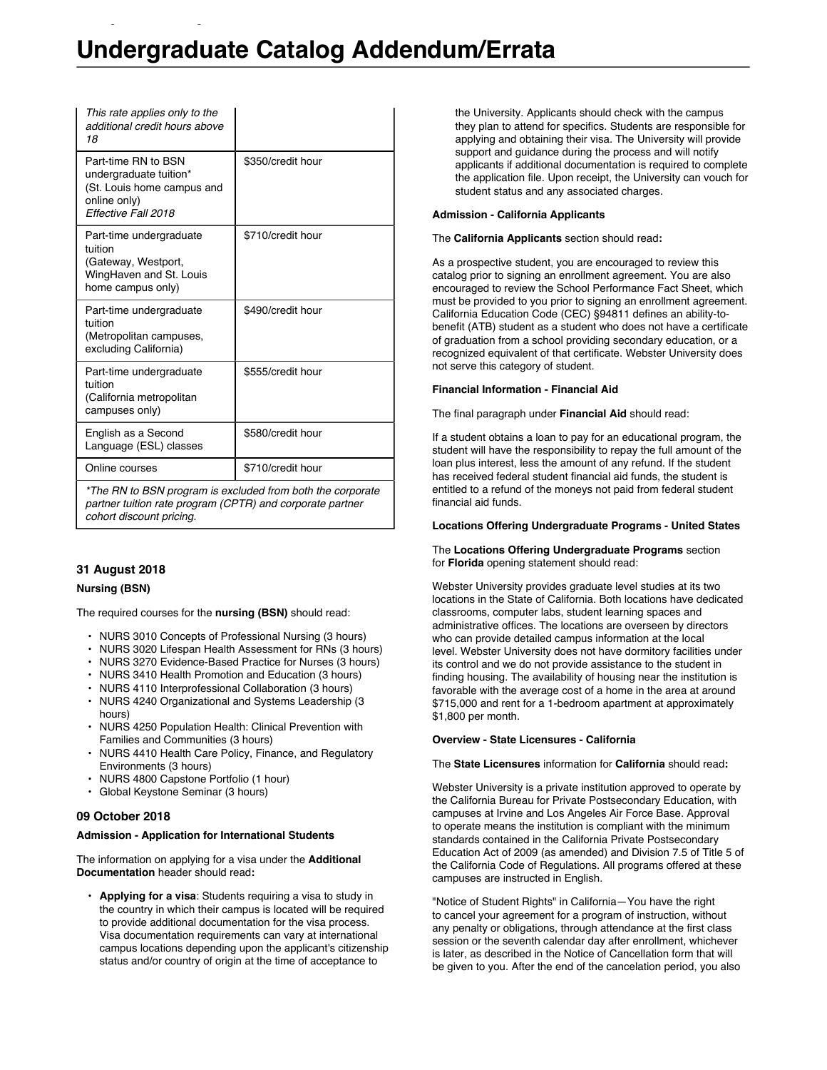| This rate applies only to the<br>additional credit hours above<br>18                                                                                |                   |  |  |  |
|-----------------------------------------------------------------------------------------------------------------------------------------------------|-------------------|--|--|--|
| Part-time RN to BSN<br>undergraduate tuition*<br>(St. Louis home campus and<br>online only)<br>Effective Fall 2018                                  | \$350/credit hour |  |  |  |
| Part-time undergraduate<br>tuition<br>(Gateway, Westport,<br>WingHaven and St. Louis<br>home campus only)                                           | \$710/credit hour |  |  |  |
| Part-time undergraduate<br>tuition<br>(Metropolitan campuses,<br>excluding California)                                                              | \$490/credit hour |  |  |  |
| Part-time undergraduate<br>tuition<br>(California metropolitan<br>campuses only)                                                                    | \$555/credit hour |  |  |  |
| English as a Second<br>Language (ESL) classes                                                                                                       | \$580/credit hour |  |  |  |
| Online courses                                                                                                                                      | \$710/credit hour |  |  |  |
| *The RN to BSN program is excluded from both the corporate<br>partner tuition rate program (CPTR) and corporate partner<br>cohort discount pricing. |                   |  |  |  |

Undergraduate Catalog Addendum/Errata

# **31 August 2018**

## **Nursing (BSN)**

The required courses for the **nursing (BSN)** should read:

- NURS 3010 Concepts of Professional Nursing (3 hours)
- NURS 3020 Lifespan Health Assessment for RNs (3 hours)
- NURS 3270 Evidence-Based Practice for Nurses (3 hours)
- NURS 3410 Health Promotion and Education (3 hours)
- NURS 4110 Interprofessional Collaboration (3 hours)
- NURS 4240 Organizational and Systems Leadership (3 hours)
- NURS 4250 Population Health: Clinical Prevention with Families and Communities (3 hours)
- NURS 4410 Health Care Policy, Finance, and Regulatory Environments (3 hours)
- NURS 4800 Capstone Portfolio (1 hour)
- Global Keystone Seminar (3 hours)

## **09 October 2018**

## **Admission - Application for International Students**

The information on applying for a visa under the **Additional Documentation** header should read**:**

• **Applying for a visa**: Students requiring a visa to study in the country in which their campus is located will be required to provide additional documentation for the visa process. Visa documentation requirements can vary at international campus locations depending upon the applicant's citizenship status and/or country of origin at the time of acceptance to

the University. Applicants should check with the campus they plan to attend for specifics. Students are responsible for applying and obtaining their visa. The University will provide support and guidance during the process and will notify applicants if additional documentation is required to complete the application file. Upon receipt, the University can vouch for student status and any associated charges.

## **Admission - California Applicants**

#### The **California Applicants** section should read**:**

As a prospective student, you are encouraged to review this catalog prior to signing an enrollment agreement. You are also encouraged to review the School Performance Fact Sheet, which must be provided to you prior to signing an enrollment agreement. California Education Code (CEC) §94811 defines an ability-tobenefit (ATB) student as a student who does not have a certificate of graduation from a school providing secondary education, or a recognized equivalent of that certificate. Webster University does not serve this category of student.

## **Financial Information - Financial Aid**

The final paragraph under **Financial Aid** should read:

If a student obtains a loan to pay for an educational program, the student will have the responsibility to repay the full amount of the loan plus interest, less the amount of any refund. If the student has received federal student financial aid funds, the student is entitled to a refund of the moneys not paid from federal student financial aid funds.

#### **Locations Offering Undergraduate Programs - United States**

#### The **Locations Offering Undergraduate Programs** section for **Florida** opening statement should read:

Webster University provides graduate level studies at its two locations in the State of California. Both locations have dedicated classrooms, computer labs, student learning spaces and administrative offices. The locations are overseen by directors who can provide detailed campus information at the local level. Webster University does not have dormitory facilities under its control and we do not provide assistance to the student in finding housing. The availability of housing near the institution is favorable with the average cost of a home in the area at around \$715,000 and rent for a 1-bedroom apartment at approximately \$1,800 per month.

## **Overview - State Licensures - California**

#### The **State Licensures** information for **California** should read**:**

Webster University is a private institution approved to operate by the California Bureau for Private Postsecondary Education, with campuses at Irvine and Los Angeles Air Force Base. Approval to operate means the institution is compliant with the minimum standards contained in the California Private Postsecondary Education Act of 2009 (as amended) and Division 7.5 of Title 5 of the California Code of Regulations. All programs offered at these campuses are instructed in English.

"Notice of Student Rights" in California—You have the right to cancel your agreement for a program of instruction, without any penalty or obligations, through attendance at the first class session or the seventh calendar day after enrollment, whichever is later, as described in the Notice of Cancellation form that will be given to you. After the end of the cancelation period, you also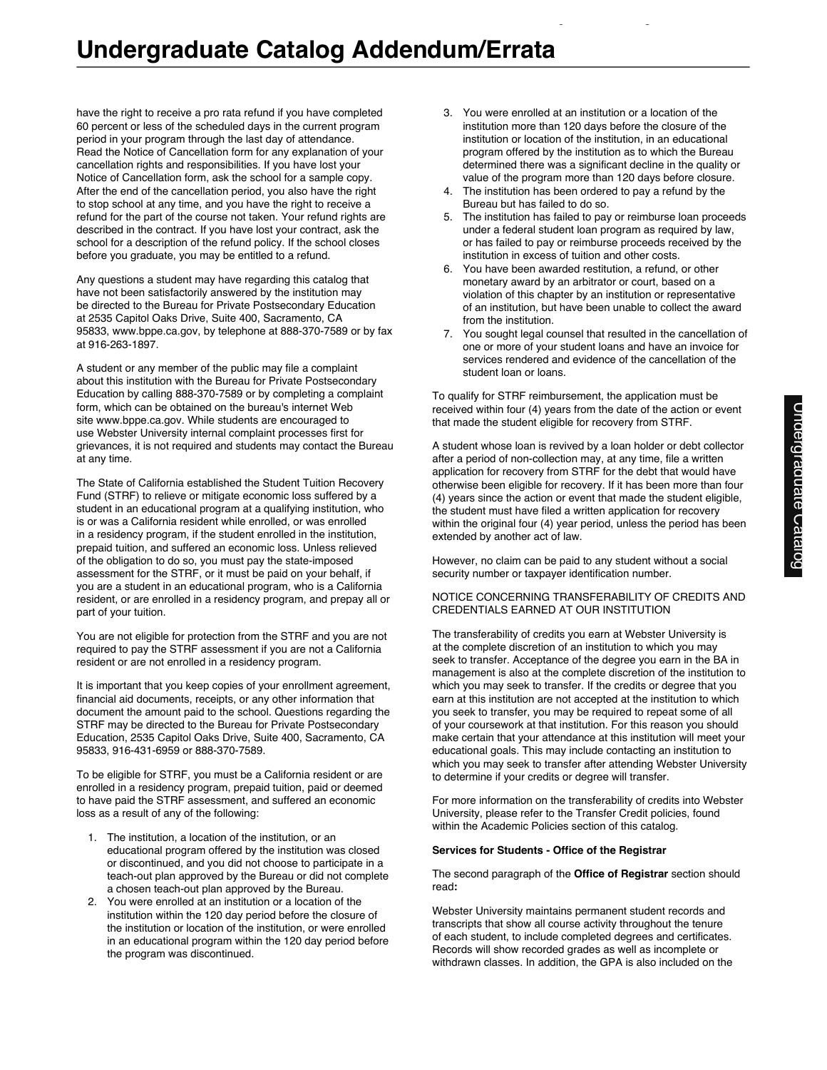have the right to receive a pro rata refund if you have completed 60 percent or less of the scheduled days in the current program period in your program through the last day of attendance. Read the Notice of Cancellation form for any explanation of your cancellation rights and responsibilities. If you have lost your Notice of Cancellation form, ask the school for a sample copy. After the end of the cancellation period, you also have the right to stop school at any time, and you have the right to receive a refund for the part of the course not taken. Your refund rights are described in the contract. If you have lost your contract, ask the school for a description of the refund policy. If the school closes before you graduate, you may be entitled to a refund.

Any questions a student may have regarding this catalog that have not been satisfactorily answered by the institution may be directed to the Bureau for Private Postsecondary Education at 2535 Capitol Oaks Drive, Suite 400, Sacramento, CA 95833, www.bppe.ca.gov, by telephone at 888-370-7589 or by fax at 916-263-1897.

A student or any member of the public may file a complaint about this institution with the Bureau for Private Postsecondary Education by calling 888-370-7589 or by completing a complaint form, which can be obtained on the bureau's internet Web site www.bppe.ca.gov. While students are encouraged to use Webster University internal complaint processes first for grievances, it is not required and students may contact the Bureau at any time.

The State of California established the Student Tuition Recovery Fund (STRF) to relieve or mitigate economic loss suffered by a student in an educational program at a qualifying institution, who is or was a California resident while enrolled, or was enrolled in a residency program, if the student enrolled in the institution, prepaid tuition, and suffered an economic loss. Unless relieved of the obligation to do so, you must pay the state-imposed assessment for the STRF, or it must be paid on your behalf, if you are a student in an educational program, who is a California resident, or are enrolled in a residency program, and prepay all or part of your tuition.

You are not eligible for protection from the STRF and you are not required to pay the STRF assessment if you are not a California resident or are not enrolled in a residency program.

It is important that you keep copies of your enrollment agreement, financial aid documents, receipts, or any other information that document the amount paid to the school. Questions regarding the STRF may be directed to the Bureau for Private Postsecondary Education, 2535 Capitol Oaks Drive, Suite 400, Sacramento, CA 95833, 916-431-6959 or 888-370-7589.

To be eligible for STRF, you must be a California resident or are enrolled in a residency program, prepaid tuition, paid or deemed to have paid the STRF assessment, and suffered an economic loss as a result of any of the following:

- 1. The institution, a location of the institution, or an educational program offered by the institution was closed or discontinued, and you did not choose to participate in a teach-out plan approved by the Bureau or did not complete a chosen teach-out plan approved by the Bureau.
- 2. You were enrolled at an institution or a location of the institution within the 120 day period before the closure of the institution or location of the institution, or were enrolled in an educational program within the 120 day period before the program was discontinued.

3. You were enrolled at an institution or a location of the institution more than 120 days before the closure of the institution or location of the institution, in an educational program offered by the institution as to which the Bureau determined there was a significant decline in the quality or value of the program more than 120 days before closure.

Undergraduate Catalog Addendum/Errata

- 4. The institution has been ordered to pay a refund by the Bureau but has failed to do so.
- 5. The institution has failed to pay or reimburse loan proceeds under a federal student loan program as required by law, or has failed to pay or reimburse proceeds received by the institution in excess of tuition and other costs.
- 6. You have been awarded restitution, a refund, or other monetary award by an arbitrator or court, based on a violation of this chapter by an institution or representative of an institution, but have been unable to collect the award from the institution.
- 7. You sought legal counsel that resulted in the cancellation of one or more of your student loans and have an invoice for services rendered and evidence of the cancellation of the student loan or loans.

To qualify for STRF reimbursement, the application must be received within four (4) years from the date of the action or event that made the student eligible for recovery from STRF.

A student whose loan is revived by a loan holder or debt collector after a period of non-collection may, at any time, file a written application for recovery from STRF for the debt that would have otherwise been eligible for recovery. If it has been more than four (4) years since the action or event that made the student eligible, the student must have filed a written application for recovery within the original four (4) year period, unless the period has been extended by another act of law.

However, no claim can be paid to any student without a social security number or taxpayer identification number.

## NOTICE CONCERNING TRANSFERABILITY OF CREDITS AND CREDENTIALS EARNED AT OUR INSTITUTION

The transferability of credits you earn at Webster University is at the complete discretion of an institution to which you may seek to transfer. Acceptance of the degree you earn in the BA in management is also at the complete discretion of the institution to which you may seek to transfer. If the credits or degree that you earn at this institution are not accepted at the institution to which you seek to transfer, you may be required to repeat some of all of your coursework at that institution. For this reason you should make certain that your attendance at this institution will meet your educational goals. This may include contacting an institution to which you may seek to transfer after attending Webster University to determine if your credits or degree will transfer.

For more information on the transferability of credits into Webster University, please refer to the Transfer Credit policies, found within the Academic Policies section of this catalog.

## **Services for Students - Office of the Registrar**

## The second paragraph of the **Office of Registrar** section should read**:**

Webster University maintains permanent student records and transcripts that show all course activity throughout the tenure of each student, to include completed degrees and certificates. Records will show recorded grades as well as incomplete or withdrawn classes. In addition, the GPA is also included on the